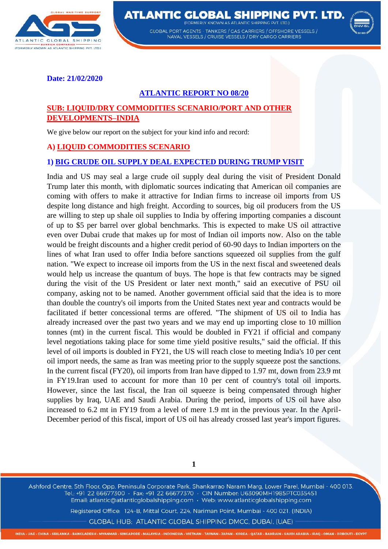

ATLANTIC GLOBAL SHIPPING PVT. LTD. **EODMEDIV KNOWN AS ATLANTIC SHIDDING DVT** 

GLOBAL PORT AGENTS - TANKERS / GAS CARRIERS / OFFSHORE VESSELS / NAVAL VESSELS / CRUISE VESSELS / DRY CARGO CARRIERS



**Date: 21/02/2020** 

## **ATLANTIC REPORT NO 08/20**

## **SUB: LIQUID/DRY COMMODITIES SCENARIO/PORT AND OTHER DEVELOPMENTS–INDIA**

We give below our report on the subject for your kind info and record:

#### **A) LIQUID COMMODITIES SCENARIO**

#### **1) BIG CRUDE OIL SUPPLY DEAL EXPECTED DURING TRUMP VISIT**

India and US may seal a large crude oil supply deal during the visit of President Donald Trump later this month, with diplomatic sources indicating that American oil companies are coming with offers to make it attractive for Indian firms to increase oil imports from US despite long distance and high freight. According to sources, big oil producers from the US are willing to step up shale oil supplies to India by offering importing companies a discount of up to \$5 per barrel over global benchmarks. This is expected to make US oil attractive even over Dubai crude that makes up for most of Indian oil imports now. Also on the table would be freight discounts and a higher credit period of 60-90 days to Indian importers on the lines of what Iran used to offer India before sanctions squeezed oil supplies from the gulf nation. "We expect to increase oil imports from the US in the next fiscal and sweetened deals would help us increase the quantum of buys. The hope is that few contracts may be signed during the visit of the US President or later next month," said an executive of PSU oil company, asking not to be named. Another government official said that the idea is to more than double the country's oil imports from the United States next year and contracts would be facilitated if better concessional terms are offered. "The shipment of US oil to India has already increased over the past two years and we may end up importing close to 10 million tonnes (mt) in the current fiscal. This would be doubled in FY21 if official and company level negotiations taking place for some time yield positive results," said the official. If this level of oil imports is doubled in FY21, the US will reach close to meeting India's 10 per cent oil import needs, the same as Iran was meeting prior to the supply squeeze post the sanctions. In the current fiscal (FY20), oil imports from Iran have dipped to 1.97 mt, down from 23.9 mt in FY19.Iran used to account for more than 10 per cent of country's total oil imports. However, since the last fiscal, the Iran oil squeeze is being compensated through higher supplies by Iraq, UAE and Saudi Arabia. During the period, imports of US oil have also increased to 6.2 mt in FY19 from a level of mere 1.9 mt in the previous year. In the April-December period of this fiscal, import of US oil has already crossed last year's import figures.

**1**

Ashford Centre, 5th Floor, Opp. Peninsula Corporate Park, Shankarrao Naram Marg, Lower Parel, Mumbai - 400 013. Tel.: +91 22 66677300 · Fax: +91 22 66677370 · CIN Number: U63090MH1985PTC035451 Email: atlantic@atlanticglobalshipping.com · Web: www.atlanticglobalshipping.com

Registered Office: 124-B, Mittal Court, 224, Nariman Point, Mumbai - 400 021. (INDIA)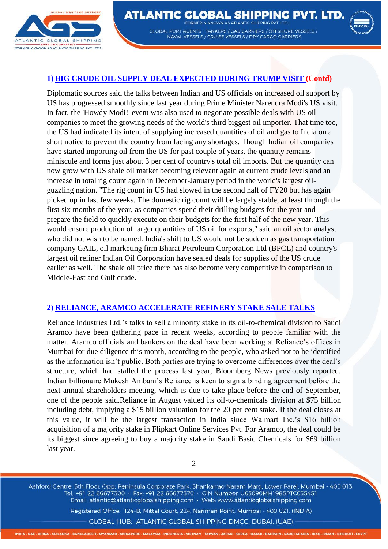



#### **1) BIG CRUDE OIL SUPPLY DEAL EXPECTED DURING TRUMP VISIT (Contd)**

Diplomatic sources said the talks between Indian and US officials on increased oil support by US has progressed smoothly since last year during Prime Minister Narendra Modi's US visit. In fact, the 'Howdy Modi!' event was also used to negotiate possible deals with US oil companies to meet the growing needs of the world's third biggest oil importer. That time too, the US had indicated its intent of supplying increased quantities of oil and gas to India on a short notice to prevent the country from facing any shortages. Though Indian oil companies have started importing oil from the US for past couple of years, the quantity remains miniscule and forms just about 3 per cent of country's total oil imports. But the quantity can now grow with US shale oil market becoming relevant again at current crude levels and an increase in total rig count again in December-January period in the world's largest oilguzzling nation. "The rig count in US had slowed in the second half of FY20 but has again picked up in last few weeks. The domestic rig count will be largely stable, at least through the first six months of the year, as companies spend their drilling budgets for the year and prepare the field to quickly execute on their budgets for the first half of the new year. This would ensure production of larger quantities of US oil for exports," said an oil sector analyst who did not wish to be named. India's shift to US would not be sudden as gas transportation company GAIL, oil marketing firm Bharat Petroleum Corporation Ltd (BPCL) and country's largest oil refiner Indian Oil Corporation have sealed deals for supplies of the US crude earlier as well. The shale oil price there has also become very competitive in comparison to Middle-East and Gulf crude.

#### **2) RELIANCE, ARAMCO ACCELERATE REFINERY STAKE SALE TALKS**

Reliance Industries Ltd.'s talks to sell a minority stake in its oil-to-chemical division to Saudi Aramco have been gathering pace in recent weeks, according to people familiar with the matter. Aramco officials and bankers on the deal have been working at Reliance's offices in Mumbai for due diligence this month, according to the people, who asked not to be identified as the information isn't public. Both parties are trying to overcome differences over the deal's structure, which had stalled the process last year, Bloomberg News previously reported. Indian billionaire Mukesh Ambani's Reliance is keen to sign a binding agreement before the next annual shareholders meeting, which is due to take place before the end of September, one of the people said.Reliance in August valued its oil-to-chemicals division at \$75 billion including debt, implying a \$15 billion valuation for the 20 per cent stake. If the deal closes at this value, it will be the largest transaction in India since Walmart Inc.'s \$16 billion acquisition of a majority stake in Flipkart Online Services Pvt. For Aramco, the deal could be its biggest since agreeing to buy a majority stake in Saudi Basic Chemicals for \$69 billion last year.

2

Ashford Centre, 5th Floor, Opp. Peninsula Corporate Park, Shankarrao Naram Marg, Lower Parel, Mumbai - 400 013. Tel.: +91 22 66677300 · Fax: +91 22 66677370 · CIN Number: U63090MH1985PTC035451 Email: atlantic@atlanticglobalshipping.com · Web: www.atlanticglobalshipping.com

Registered Office: 124-B, Mittal Court, 224, Nariman Point, Mumbai - 400 021. (INDIA)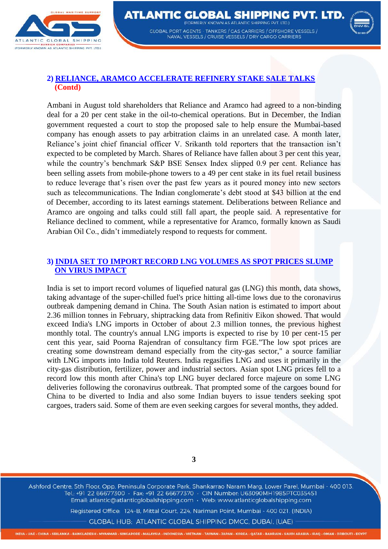



## **2) RELIANCE, ARAMCO ACCELERATE REFINERY STAKE SALE TALKS (Contd)**

Ambani in August told shareholders that Reliance and Aramco had agreed to a non-binding deal for a 20 per cent stake in the oil-to-chemical operations. But in December, the Indian government requested a court to stop the proposed sale to help ensure the Mumbai-based company has enough assets to pay arbitration claims in an unrelated case. A month later, Reliance's joint chief financial officer V. Srikanth told reporters that the transaction isn't expected to be completed by March. Shares of Reliance have fallen about 3 per cent this year, while the country's benchmark S&P BSE Sensex Index slipped 0.9 per cent. Reliance has been selling assets from mobile-phone towers to a 49 per cent stake in its fuel retail business to reduce leverage that's risen over the past few years as it poured money into new sectors such as telecommunications. The Indian conglomerate's debt stood at \$43 billion at the end of December, according to its latest earnings statement. Deliberations between Reliance and Aramco are ongoing and talks could still fall apart, the people said. A representative for Reliance declined to comment, while a representative for Aramco, formally known as Saudi Arabian Oil Co., didn't immediately respond to requests for comment.

### **3) INDIA SET TO IMPORT RECORD LNG VOLUMES AS SPOT PRICES SLUMP ON VIRUS IMPACT**

India is set to import record volumes of liquefied natural gas (LNG) this month, data shows, taking advantage of the super-chilled fuel's price hitting all-time lows due to the coronavirus outbreak dampening demand in China. The South Asian nation is estimated to import about 2.36 million tonnes in February, shiptracking data from Refinitiv Eikon showed. That would exceed India's LNG imports in October of about 2.3 million tonnes, the previous highest monthly total. The country's annual LNG imports is expected to rise by 10 per cent-15 per cent this year, said Poorna Rajendran of consultancy firm FGE."The low spot prices are creating some downstream demand especially from the city-gas sector," a source familiar with LNG imports into India told Reuters. India regasifies LNG and uses it primarily in the city-gas distribution, fertilizer, power and industrial sectors. Asian spot LNG prices fell to a record low this month after China's top LNG buyer declared force majeure on some LNG deliveries following the coronavirus outbreak. That prompted some of the cargoes bound for China to be diverted to India and also some Indian buyers to issue tenders seeking spot cargoes, traders said. Some of them are even seeking cargoes for several months, they added.

**3**

Ashford Centre, 5th Floor, Opp. Peninsula Corporate Park, Shankarrao Naram Marg, Lower Parel, Mumbai - 400 013. Tel.: +91 22 66677300 · Fax: +91 22 66677370 · CIN Number: U63090MH1985PTC035451 Email: atlantic@atlanticglobalshipping.com · Web: www.atlanticglobalshipping.com

Registered Office: 124-B, Mittal Court, 224, Nariman Point, Mumbai - 400 021. (INDIA)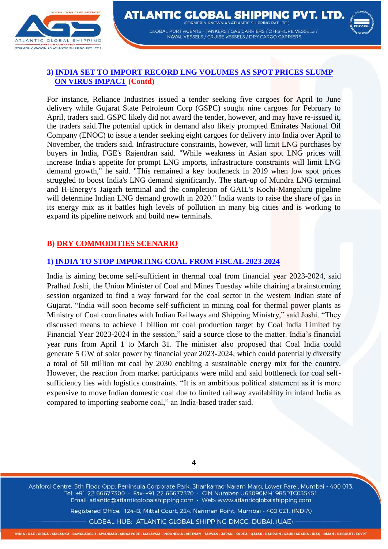



## **3) INDIA SET TO IMPORT RECORD LNG VOLUMES AS SPOT PRICES SLUMP ON VIRUS IMPACT (Contd)**

For instance, Reliance Industries issued a tender seeking five cargoes for April to June delivery while Gujarat State Petroleum Corp (GSPC) sought nine cargoes for February to April, traders said. GSPC likely did not award the tender, however, and may have re-issued it, the traders said.The potential uptick in demand also likely prompted Emirates National Oil Company (ENOC) to issue a tender seeking eight cargoes for delivery into India over April to November, the traders said. Infrastructure constraints, however, will limit LNG purchases by buyers in India, FGE's Rajendran said. "While weakness in Asian spot LNG prices will increase India's appetite for prompt LNG imports, infrastructure constraints will limit LNG demand growth," he said. "This remained a key bottleneck in 2019 when low spot prices struggled to boost India's LNG demand significantly. The start-up of Mundra LNG terminal and H-Energy's Jaigarh terminal and the completion of GAIL's Kochi-Mangaluru pipeline will determine Indian LNG demand growth in 2020." India wants to raise the share of gas in its energy mix as it battles high levels of pollution in many big cities and is working to expand its pipeline network and build new terminals.

# **B) DRY COMMODITIES SCENARIO**

## **1) INDIA TO STOP IMPORTING COAL FROM FISCAL 2023-2024**

India is aiming become self-sufficient in thermal coal from financial year 2023-2024, said Pralhad Joshi, the Union Minister of Coal and Mines Tuesday while chairing a brainstorming session organized to find a way forward for the coal sector in the western Indian state of Gujarat. "India will soon become self-sufficient in mining coal for thermal power plants as Ministry of Coal coordinates with Indian Railways and Shipping Ministry," said Joshi. "They discussed means to achieve 1 billion mt coal production target by Coal India Limited by Financial Year 2023-2024 in the session," said a source close to the matter. India's financial year runs from April 1 to March 31. The minister also proposed that Coal India could generate 5 GW of solar power by financial year 2023-2024, which could potentially diversify a total of 50 million mt coal by 2030 enabling a sustainable energy mix for the country. However, the reaction from market participants were mild and said bottleneck for coal selfsufficiency lies with logistics constraints. "It is an ambitious political statement as it is more expensive to move Indian domestic coal due to limited railway availability in inland India as compared to importing seaborne coal," an India-based trader said.

**4**

Ashford Centre, 5th Floor, Opp. Peninsula Corporate Park, Shankarrao Naram Marg, Lower Parel, Mumbai - 400 013. Tel.: +91 22 66677300 · Fax: +91 22 66677370 · CIN Number: U63090MH1985PTC035451 Email: atlantic@atlanticglobalshipping.com · Web: www.atlanticglobalshipping.com

Registered Office: 124-B, Mittal Court, 224, Nariman Point, Mumbai - 400 021. (INDIA)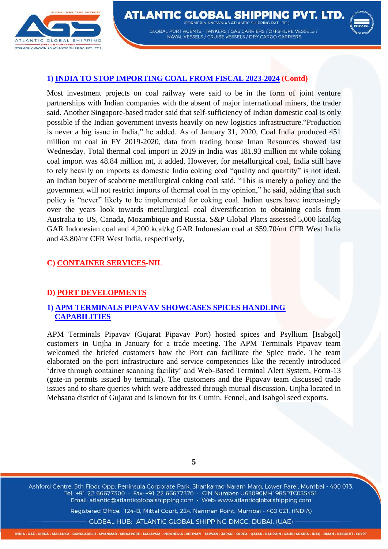



#### **1) INDIA TO STOP IMPORTING COAL FROM FISCAL 2023-2024 (Contd)**

Most investment projects on coal railway were said to be in the form of joint venture partnerships with Indian companies with the absent of major international miners, the trader said. Another Singapore-based trader said that self-sufficiency of Indian domestic coal is only possible if the Indian government invests heavily on new logistics infrastructure."Production is never a big issue in India," he added. As of January 31, 2020, Coal India produced 451 million mt coal in FY 2019-2020, data from trading house Iman Resources showed last Wednesday. Total thermal coal import in 2019 in India was 181.93 million mt while coking coal import was 48.84 million mt, it added. However, for metallurgical coal, India still have to rely heavily on imports as domestic India coking coal "quality and quantity" is not ideal, an Indian buyer of seaborne metallurgical coking coal said. "This is merely a policy and the government will not restrict imports of thermal coal in my opinion," he said, adding that such policy is "never" likely to be implemented for coking coal. Indian users have increasingly over the years look towards metallurgical coal diversification to obtaining coals from Australia to US, Canada, Mozambique and Russia. S&P Global Platts assessed 5,000 kcal/kg GAR Indonesian coal and 4,200 kcal/kg GAR Indonesian coal at \$59.70/mt CFR West India and 43.80/mt CFR West India, respectively,

#### **C) CONTAINER SERVICES-NIL**

#### **D) PORT DEVELOPMENTS**

### **1) APM TERMINALS PIPAVAV SHOWCASES SPICES HANDLING CAPABILITIES**

APM Terminals Pipavav (Gujarat Pipavav Port) hosted spices and Psyllium [Isabgol] customers in Unjha in January for a trade meeting. The APM Terminals Pipavav team welcomed the briefed customers how the Port can facilitate the Spice trade. The team elaborated on the port infrastructure and service competencies like the recently introduced 'drive through container scanning facility' and Web-Based Terminal Alert System, Form-13 (gate-in permits issued by terminal). The customers and the Pipavav team discussed trade issues and to share queries which were addressed through mutual discussion. Unjha located in Mehsana district of Gujarat and is known for its Cumin, Fennel, and Isabgol seed exports.

**5**

Ashford Centre, 5th Floor, Opp. Peninsula Corporate Park, Shankarrao Naram Marg, Lower Parel, Mumbai - 400 013. Tel.: +91 22 66677300 · Fax: +91 22 66677370 · CIN Number: U63090MH1985PTC035451 Email: atlantic@atlanticglobalshipping.com · Web: www.atlanticglobalshipping.com

Registered Office: 124-B, Mittal Court, 224, Nariman Point, Mumbai - 400 021. (INDIA)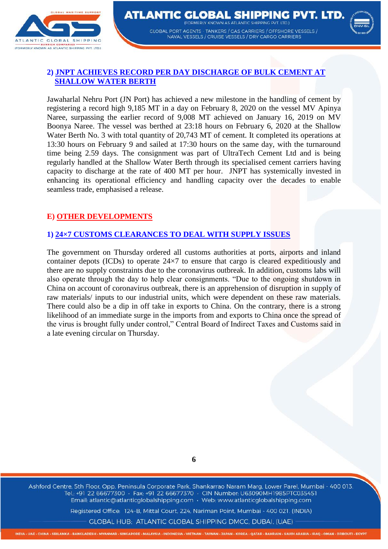



## **2) JNPT ACHIEVES RECORD PER DAY DISCHARGE OF BULK CEMENT AT SHALLOW WATER BERTH**

Jawaharlal Nehru Port (JN Port) has achieved a new milestone in the handling of cement by registering a record high 9,185 MT in a day on February 8, 2020 on the vessel MV Apinya Naree, surpassing the earlier record of 9,008 MT achieved on January 16, 2019 on MV Boonya Naree. The vessel was berthed at 23:18 hours on February 6, 2020 at the Shallow Water Berth No. 3 with total quantity of 20,743 MT of cement. It completed its operations at 13:30 hours on February 9 and sailed at 17:30 hours on the same day, with the turnaround time being 2.59 days. The consignment was part of UltraTech Cement Ltd and is being regularly handled at the Shallow Water Berth through its specialised cement carriers having capacity to discharge at the rate of 400 MT per hour. JNPT has systemically invested in enhancing its operational efficiency and handling capacity over the decades to enable seamless trade, emphasised a release.

## **E) OTHER DEVELOPMENTS**

## **1) 24×7 CUSTOMS CLEARANCES TO DEAL WITH SUPPLY ISSUES**

The government on Thursday ordered all customs authorities at ports, airports and inland container depots (ICDs) to operate 24×7 to ensure that cargo is cleared expeditiously and there are no supply constraints due to the coronavirus outbreak. In addition, customs labs will also operate through the day to help clear consignments. "Due to the ongoing shutdown in China on account of coronavirus outbreak, there is an apprehension of disruption in supply of raw materials/ inputs to our industrial units, which were dependent on these raw materials. There could also be a dip in off take in exports to China. On the contrary, there is a strong likelihood of an immediate surge in the imports from and exports to China once the spread of the virus is brought fully under control," Central Board of Indirect Taxes and Customs said in a late evening circular on Thursday.

**6**

Ashford Centre, 5th Floor, Opp. Peninsula Corporate Park, Shankarrao Naram Marg, Lower Parel, Mumbai - 400 013. Tel.: +91 22 66677300 · Fax: +91 22 66677370 · CIN Number: U63090MH1985PTC035451 Email: atlantic@atlanticglobalshipping.com · Web: www.atlanticglobalshipping.com

Registered Office: 124-B, Mittal Court, 224, Nariman Point, Mumbai - 400 021. (INDIA)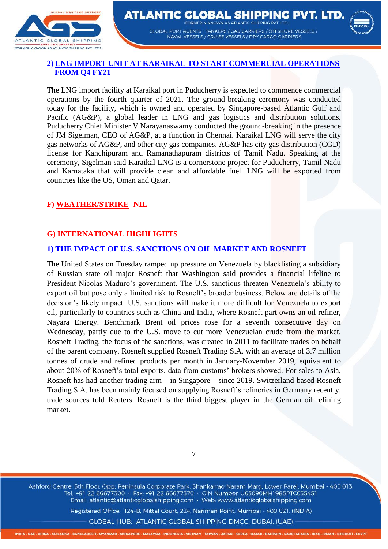



## **2) LNG IMPORT UNIT AT KARAIKAL TO START COMMERCIAL OPERATIONS FROM Q4 FY21**

The LNG import facility at Karaikal port in Puducherry is expected to commence commercial operations by the fourth quarter of 2021. The ground-breaking ceremony was conducted today for the facility, which is owned and operated by Singapore-based Atlantic Gulf and Pacific (AG&P), a global leader in LNG and gas logistics and distribution solutions. Puducherry Chief Minister V Narayanaswamy conducted the ground-breaking in the presence of JM Sigelman, CEO of AG&P, at a function in Chennai. Karaikal LNG will serve the city gas networks of AG&P, and other city gas companies. AG&P has city gas distribution (CGD) license for Kanchipuram and Ramanathapuram districts of Tamil Nadu. Speaking at the ceremony, Sigelman said Karaikal LNG is a cornerstone project for Puducherry, Tamil Nadu and Karnataka that will provide clean and affordable fuel. LNG will be exported from countries like the US, Oman and Qatar.

### **F) WEATHER/STRIKE- NIL**

# **G) INTERNATIONAL HIGHLIGHTS**

### **1) THE IMPACT OF U.S. SANCTIONS ON OIL MARKET AND ROSNEFT**

The United States on Tuesday ramped up pressure on Venezuela by blacklisting a subsidiary of Russian state oil major Rosneft that Washington said provides a financial lifeline to President Nicolas Maduro's government. The U.S. sanctions threaten Venezuela's ability to export oil but pose only a limited risk to Rosneft's broader business. Below are details of the decision's likely impact. U.S. sanctions will make it more difficult for Venezuela to export oil, particularly to countries such as China and India, where Rosneft part owns an oil refiner, Nayara Energy. Benchmark Brent oil prices rose for a seventh consecutive day on Wednesday, partly due to the U.S. move to cut more Venezuelan crude from the market. Rosneft Trading, the focus of the sanctions, was created in 2011 to facilitate trades on behalf of the parent company. Rosneft supplied Rosneft Trading S.A. with an average of 3.7 million tonnes of crude and refined products per month in January-November 2019, equivalent to about 20% of Rosneft's total exports, data from customs' brokers showed. For sales to Asia, Rosneft has had another trading arm – in Singapore – since 2019. Switzerland-based Rosneft Trading S.A. has been mainly focused on supplying Rosneft's refineries in Germany recently, trade sources told Reuters. Rosneft is the third biggest player in the German oil refining market.



Ashford Centre, 5th Floor, Opp. Peninsula Corporate Park, Shankarrao Naram Marg, Lower Parel, Mumbai - 400 013. Tel.: +91 22 66677300 · Fax: +91 22 66677370 · CIN Number: U63090MH1985PTC035451 Email: atlantic@atlanticglobalshipping.com · Web: www.atlanticglobalshipping.com

Registered Office: 124-B, Mittal Court, 224, Nariman Point, Mumbai - 400 021. (INDIA)